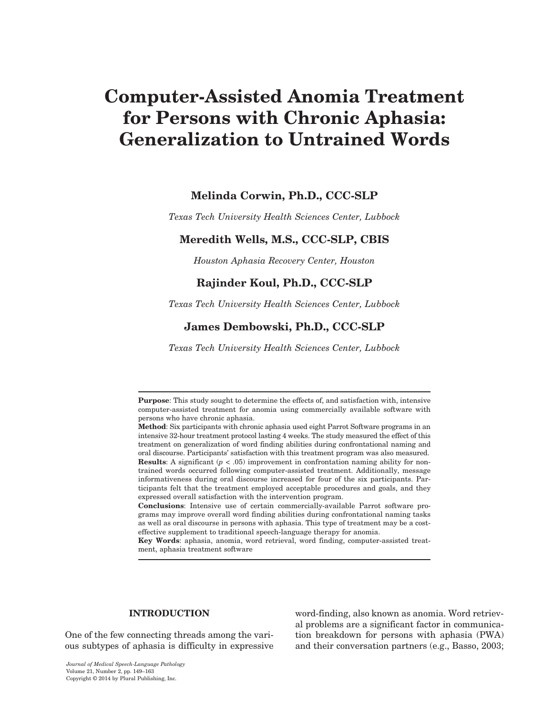# Computer-Assisted Anomia Treatment for Persons with Chronic Aphasia: Generalization to Untrained Words

# Melinda Corwin, Ph.D., CCC-SLP

*Texas Tech University Health Sciences Center, Lubbock*

# Meredith Wells, M.S., CCC-SLP, CBIS

*Houston Aphasia Recovery Center, Houston*

# Rajinder Koul, Ph.D., CCC-SLP

*Texas Tech University Health Sciences Center, Lubbock*

# James Dembowski, Ph.D., CCC-SLP

*Texas Tech University Health Sciences Center, Lubbock*

Key Words: aphasia, anomia, word retrieval, word finding, computer-assisted treatment, aphasia treatment software

#### **INTRODUCTION**

One of the few connecting threads among the various subtypes of aphasia is difficulty in expressive word-finding, also known as anomia. Word retrieval problems are a significant factor in communication breakdown for persons with aphasia (PWA) and their conversation partners (e.g., Basso, 2003;

Purpose: This study sought to determine the effects of, and satisfaction with, intensive computer-assisted treatment for anomia using commercially available software with persons who have chronic aphasia.

Method: Six participants with chronic aphasia used eight Parrot Software programs in an intensive 32-hour treatment protocol lasting 4 weeks. The study measured the effect of this treatment on generalization of word finding abilities during confrontational naming and oral discourse. Participants' satisfaction with this treatment program was also measured. **Results:** A significant  $(p < .05)$  improvement in confrontation naming ability for nontrained words occurred following computer-assisted treatment. Additionally, message informativeness during oral discourse increased for four of the six participants. Participants felt that the treatment employed acceptable procedures and goals, and they expressed overall satisfaction with the intervention program.

Conclusions: Intensive use of certain commercially-available Parrot software programs may improve overall word finding abilities during confrontational naming tasks as well as oral discourse in persons with aphasia. This type of treatment may be a costeffective supplement to traditional speech-language therapy for anomia.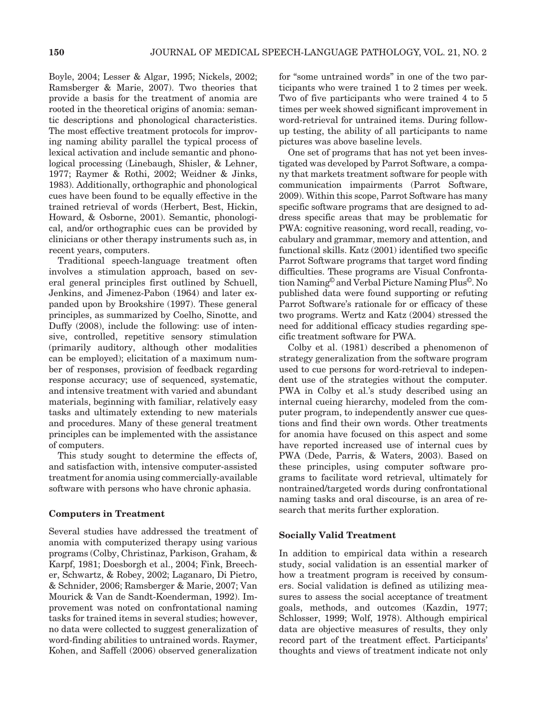Boyle, 2004; Lesser & Algar, 1995; Nickels, 2002; Ramsberger & Marie, 2007). Two theories that provide a basis for the treatment of anomia are rooted in the theoretical origins of anomia: semantic descriptions and phonological characteristics. The most effective treatment protocols for improving naming ability parallel the typical process of lexical activation and include semantic and phonological processing (Linebaugh, Shisler, & Lehner, 1977; Raymer & Rothi, 2002; Weidner & Jinks, 1983). Additionally, orthographic and phonological cues have been found to be equally effective in the trained retrieval of words (Herbert, Best, Hickin, Howard, & Osborne, 2001). Semantic, phonological, and/or orthographic cues can be provided by clinicians or other therapy instruments such as, in recent years, computers.

Traditional speech-language treatment often involves a stimulation approach, based on several general principles first outlined by Schuell, Jenkins, and Jimenez-Pabon (1964) and later expanded upon by Brookshire (1997). These general principles, as summarized by Coelho, Sinotte, and Duffy (2008), include the following: use of intensive, controlled, repetitive sensory stimulation (primarily auditory, although other modalities can be employed); elicitation of a maximum number of responses, provision of feedback regarding response accuracy; use of sequenced, systematic, and intensive treatment with varied and abundant materials, beginning with familiar, relatively easy tasks and ultimately extending to new materials and procedures. Many of these general treatment principles can be implemented with the assistance of computers.

This study sought to determine the effects of, and satisfaction with, intensive computer-assisted treatment for anomia using commercially-available software with persons who have chronic aphasia.

#### Computers in Treatment

Several studies have addressed the treatment of anomia with computerized therapy using various programs (Colby, Christinaz, Parkison, Graham, & Karpf, 1981; Doesborgh et al., 2004; Fink, Breecher, Schwartz, & Robey, 2002; Laganaro, Di Pietro, & Schnider, 2006; Ramsberger & Marie, 2007; Van Mourick & Van de Sandt-Koenderman, 1992). Improvement was noted on confrontational naming tasks for trained items in several studies; however, no data were collected to suggest generalization of word-finding abilities to untrained words. Raymer, Kohen, and Saffell (2006) observed generalization

for "some untrained words" in one of the two participants who were trained 1 to 2 times per week. Two of five participants who were trained 4 to 5 times per week showed significant improvement in word-retrieval for untrained items. During followup testing, the ability of all participants to name pictures was above baseline levels.

One set of programs that has not yet been investigated was developed by Parrot Software, a company that markets treatment software for people with communication impairments (Parrot Software, 2009). Within this scope, Parrot Software has many specific software programs that are designed to address specific areas that may be problematic for PWA: cognitive reasoning, word recall, reading, vocabulary and grammar, memory and attention, and functional skills. Katz (2001) identified two specific Parrot Software programs that target word finding difficulties. These programs are Visual Confrontation Naming© and Verbal Picture Naming Plus©. No published data were found supporting or refuting Parrot Software's rationale for or efficacy of these two programs. Wertz and Katz (2004) stressed the need for additional efficacy studies regarding specific treatment software for PWA.

Colby et al. (1981) described a phenomenon of strategy generalization from the software program used to cue persons for word-retrieval to independent use of the strategies without the computer. PWA in Colby et al.'s study described using an internal cueing hierarchy, modeled from the computer program, to independently answer cue questions and find their own words. Other treatments for anomia have focused on this aspect and some have reported increased use of internal cues by PWA (Dede, Parris, & Waters, 2003). Based on these principles, using computer software programs to facilitate word retrieval, ultimately for nontrained/targeted words during confrontational naming tasks and oral discourse, is an area of research that merits further exploration.

#### Socially Valid Treatment

In addition to empirical data within a research study, social validation is an essential marker of how a treatment program is received by consumers. Social validation is defined as utilizing measures to assess the social acceptance of treatment goals, methods, and outcomes (Kazdin, 1977; Schlosser, 1999; Wolf, 1978). Although empirical data are objective measures of results, they only record part of the treatment effect. Participants' thoughts and views of treatment indicate not only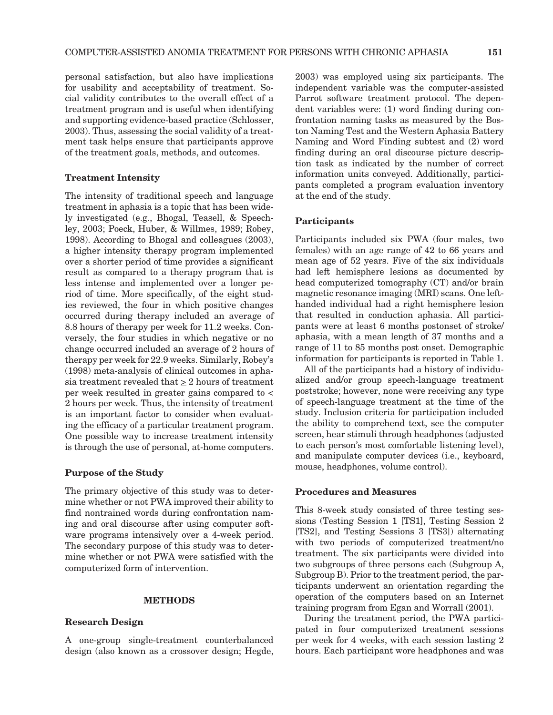personal satisfaction, but also have implications for usability and acceptability of treatment. Social validity contributes to the overall effect of a treatment program and is useful when identifying and supporting evidence-based practice (Schlosser, 2003). Thus, assessing the social validity of a treatment task helps ensure that participants approve of the treatment goals, methods, and outcomes.

#### Treatment Intensity

The intensity of traditional speech and language treatment in aphasia is a topic that has been widely investigated (e.g., Bhogal, Teasell, & Speechley, 2003; Poeck, Huber, & Willmes, 1989; Robey, 1998). According to Bhogal and colleagues (2003), a higher intensity therapy program implemented over a shorter period of time provides a significant result as compared to a therapy program that is less intense and implemented over a longer period of time. More specifically, of the eight studies reviewed, the four in which positive changes occurred during therapy included an average of 8.8 hours of therapy per week for 11.2 weeks. Conversely, the four studies in which negative or no change occurred included an average of 2 hours of therapy per week for 22.9 weeks. Similarly, Robey's (1998) meta-analysis of clinical outcomes in aphasia treatment revealed that  $\geq 2$  hours of treatment per week resulted in greater gains compared to < 2 hours per week. Thus, the intensity of treatment is an important factor to consider when evaluating the efficacy of a particular treatment program. One possible way to increase treatment intensity is through the use of personal, at-home computers.

#### Purpose of the Study

The primary objective of this study was to determine whether or not PWA improved their ability to find nontrained words during confrontation naming and oral discourse after using computer software programs intensively over a 4-week period. The secondary purpose of this study was to determine whether or not PWA were satisfied with the computerized form of intervention.

#### **METHODS**

#### Research Design

A one-group single-treatment counterbalanced design (also known as a crossover design; Hegde, 2003) was employed using six participants. The independent variable was the computer-assisted Parrot software treatment protocol. The dependent variables were: (1) word finding during confrontation naming tasks as measured by the Boston Naming Test and the Western Aphasia Battery Naming and Word Finding subtest and (2) word finding during an oral discourse picture description task as indicated by the number of correct information units conveyed. Additionally, participants completed a program evaluation inventory at the end of the study.

#### Participants

Participants included six PWA (four males, two females) with an age range of 42 to 66 years and mean age of 52 years. Five of the six individuals had left hemisphere lesions as documented by head computerized tomography (CT) and/or brain magnetic resonance imaging (MRI) scans. One lefthanded individual had a right hemisphere lesion that resulted in conduction aphasia. All participants were at least 6 months postonset of stroke/ aphasia, with a mean length of 37 months and a range of 11 to 85 months post onset. Demographic information for participants is reported in Table 1.

All of the participants had a history of individualized and/or group speech-language treatment poststroke; however, none were receiving any type of speech-language treatment at the time of the study. Inclusion criteria for participation included the ability to comprehend text, see the computer screen, hear stimuli through headphones (adjusted to each person's most comfortable listening level), and manipulate computer devices (i.e., keyboard, mouse, headphones, volume control).

#### Procedures and Measures

This 8-week study consisted of three testing sessions (Testing Session 1 [TS1], Testing Session 2 [TS2], and Testing Sessions 3 [TS3]) alternating with two periods of computerized treatment/no treatment. The six participants were divided into two subgroups of three persons each (Subgroup A, Subgroup B). Prior to the treatment period, the participants underwent an orientation regarding the operation of the computers based on an Internet training program from Egan and Worrall (2001).

During the treatment period, the PWA participated in four computerized treatment sessions per week for 4 weeks, with each session lasting 2 hours. Each participant wore headphones and was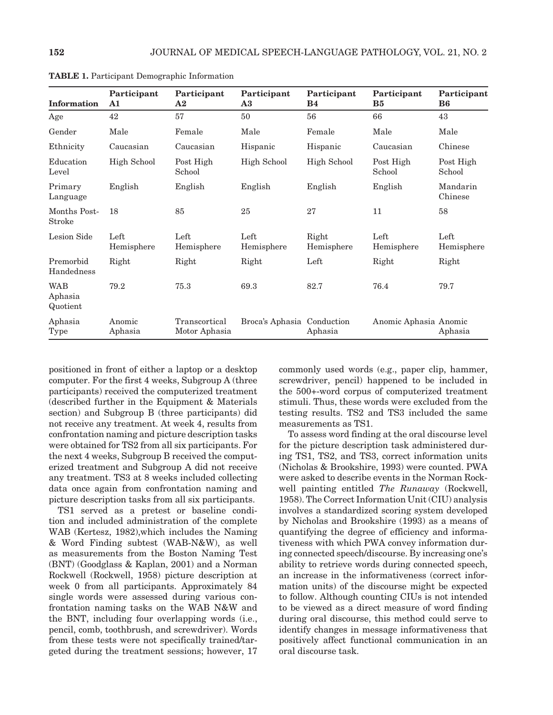| <b>Information</b>                | Participant<br>$\mathbf{A1}$ | Participant<br>${\bf A2}$      | Participant<br>$\mathbf{A3}$ | Participant<br>B <sub>4</sub> | Participant<br>B <sub>5</sub> | Participant<br>B <sub>6</sub> |
|-----------------------------------|------------------------------|--------------------------------|------------------------------|-------------------------------|-------------------------------|-------------------------------|
| Age                               | 42                           | 57                             | 50                           | 56                            | 66                            | 43                            |
| Gender                            | Male                         | Female                         | Male                         | Female                        | Male                          | Male                          |
| Ethnicity                         | Caucasian                    | Caucasian                      | Hispanic                     | Hispanic                      | Caucasian                     | Chinese                       |
| Education<br>Level                | <b>High School</b>           | Post High<br>School            | High School                  | <b>High School</b>            | Post High<br>School           | Post High<br>School           |
| Primary<br>Language               | English                      | English                        | English                      | English                       | English                       | Mandarin<br>Chinese           |
| Months Post-<br><b>Stroke</b>     | 18                           | 85                             | 25                           | 27                            | 11                            | 58                            |
| Lesion Side                       | Left<br>Hemisphere           | Left<br>Hemisphere             | Left<br>Hemisphere           | Right<br>Hemisphere           | Left<br>Hemisphere            | Left<br>Hemisphere            |
| Premorbid<br>Handedness           | Right                        | Right                          | Right                        | Left                          | Right                         | Right                         |
| <b>WAB</b><br>Aphasia<br>Quotient | 79.2                         | 75.3                           | 69.3                         | 82.7                          | 76.4                          | 79.7                          |
| Aphasia<br>Type                   | Anomic<br>Aphasia            | Transcortical<br>Motor Aphasia | Broca's Aphasia Conduction   | Aphasia                       | Anomic Aphasia Anomic         | Aphasia                       |

Table 1. Participant Demographic Information

positioned in front of either a laptop or a desktop computer. For the first 4 weeks, Subgroup A (three participants) received the computerized treatment (described further in the Equipment & Materials section) and Subgroup B (three participants) did not receive any treatment. At week 4, results from confrontation naming and picture description tasks were obtained for TS2 from all six participants. For the next 4 weeks, Subgroup B received the computerized treatment and Subgroup A did not receive any treatment. TS3 at 8 weeks included collecting data once again from confrontation naming and picture description tasks from all six participants.

TS1 served as a pretest or baseline condition and included administration of the complete WAB (Kertesz, 1982),which includes the Naming & Word Finding subtest (WAB-N&W), as well as measurements from the Boston Naming Test (BNT) (Goodglass & Kaplan, 2001) and a Norman Rockwell (Rockwell, 1958) picture description at week 0 from all participants. Approximately 84 single words were assessed during various confrontation naming tasks on the WAB N&W and the BNT, including four overlapping words (i.e., pencil, comb, toothbrush, and screwdriver). Words from these tests were not specifically trained/targeted during the treatment sessions; however, 17 commonly used words (e.g., paper clip, hammer, screwdriver, pencil) happened to be included in the 500+-word corpus of computerized treatment stimuli. Thus, these words were excluded from the testing results. TS2 and TS3 included the same measurements as TS1.

To assess word finding at the oral discourse level for the picture description task administered during TS1, TS2, and TS3, correct information units (Nicholas & Brookshire, 1993) were counted. PWA were asked to describe events in the Norman Rockwell painting entitled *The Runaway* (Rockwell, 1958). The Correct Information Unit (CIU) analysis involves a standardized scoring system developed by Nicholas and Brookshire (1993) as a means of quantifying the degree of efficiency and informativeness with which PWA convey information during connected speech/discourse. By increasing one's ability to retrieve words during connected speech, an increase in the informativeness (correct information units) of the discourse might be expected to follow. Although counting CIUs is not intended to be viewed as a direct measure of word finding during oral discourse, this method could serve to identify changes in message informativeness that positively affect functional communication in an oral discourse task.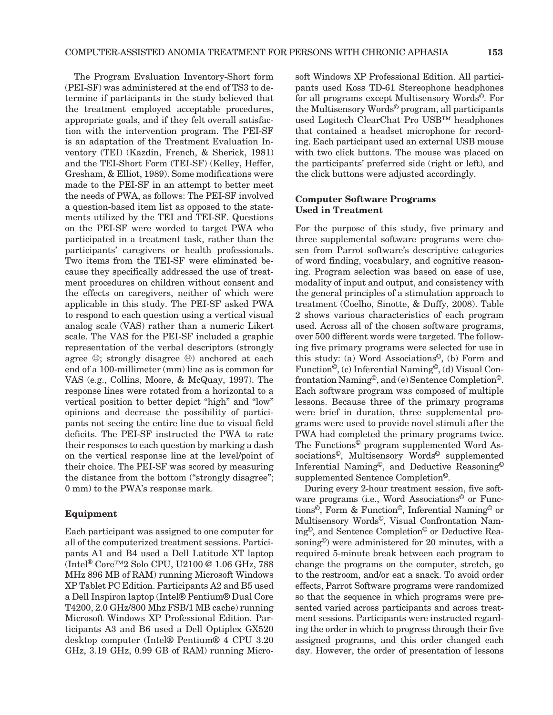The Program Evaluation Inventory-Short form (PEI-SF) was administered at the end of TS3 to determine if participants in the study believed that the treatment employed acceptable procedures, appropriate goals, and if they felt overall satisfaction with the intervention program. The PEI-SF is an adaptation of the Treatment Evaluation Inventory (TEI) (Kazdin, French, & Sherick, 1981) and the TEI-Short Form (TEI-SF) (Kelley, Heffer, Gresham, & Elliot, 1989). Some modifications were made to the PEI-SF in an attempt to better meet the needs of PWA, as follows: The PEI-SF involved a question-based item list as opposed to the statements utilized by the TEI and TEI-SF. Questions on the PEI-SF were worded to target PWA who participated in a treatment task, rather than the participants' caregivers or health professionals. Two items from the TEI-SF were eliminated because they specifically addressed the use of treatment procedures on children without consent and the effects on caregivers, neither of which were applicable in this study. The PEI-SF asked PWA to respond to each question using a vertical visual analog scale (VAS) rather than a numeric Likert scale. The VAS for the PEI-SF included a graphic representation of the verbal descriptors (strongly agree  $\circledcirc$ ; strongly disagree  $\circledcirc$ ) anchored at each end of a 100-millimeter (mm) line as is common for VAS (e.g., Collins, Moore, & McQuay, 1997). The response lines were rotated from a horizontal to a vertical position to better depict "high" and "low" opinions and decrease the possibility of participants not seeing the entire line due to visual field deficits. The PEI-SF instructed the PWA to rate their responses to each question by marking a dash on the vertical response line at the level/point of their choice. The PEI-SF was scored by measuring the distance from the bottom ("strongly disagree"; 0 mm) to the PWA's response mark.

#### Equipment

Each participant was assigned to one computer for all of the computerized treatment sessions. Participants A1 and B4 used a Dell Latitude XT laptop (Intel® Core™2 Solo CPU, U2100 @ 1.06 GHz, 788 MHz 896 MB of RAM) running Microsoft Windows XP Tablet PC Edition. Participants A2 and B5 used a Dell Inspiron laptop (Intel® Pentium® Dual Core T4200, 2.0 GHz/800 Mhz FSB/1 MB cache) running Microsoft Windows XP Professional Edition. Participants A3 and B6 used a Dell Optiplex GX520 desktop computer (Intel® Pentium® 4 CPU 3.20 GHz, 3.19 GHz, 0.99 GB of RAM) running Microsoft Windows XP Professional Edition. All participants used Koss TD-61 Stereophone headphones for all programs except Multisensory Words©. For the Multisensory Words© program, all participants used Logitech ClearChat Pro USB™ headphones that contained a headset microphone for recording. Each participant used an external USB mouse with two click buttons. The mouse was placed on the participants' preferred side (right or left), and the click buttons were adjusted accordingly.

#### Computer Software Programs Used in Treatment

For the purpose of this study, five primary and three supplemental software programs were chosen from Parrot software's descriptive categories of word finding, vocabulary, and cognitive reasoning. Program selection was based on ease of use, modality of input and output, and consistency with the general principles of a stimulation approach to treatment (Coelho, Sinotte, & Duffy, 2008). Table 2 shows various characteristics of each program used. Across all of the chosen software programs, over 500 different words were targeted. The following five primary programs were selected for use in this study: (a) Word Associations©, (b) Form and Function©, (c) Inferential Naming©, (d) Visual Confrontation Naming©, and (e) Sentence Completion©. Each software program was composed of multiple lessons. Because three of the primary programs were brief in duration, three supplemental programs were used to provide novel stimuli after the PWA had completed the primary programs twice. The Functions© program supplemented Word Associations©, Multisensory Words© supplemented Inferential Naming©, and Deductive Reasoning© supplemented Sentence Completion©.

During every 2-hour treatment session, five software programs (i.e., Word Associations<sup>©</sup> or Functions©, Form & Function©, Inferential Naming© or Multisensory Words©, Visual Confrontation Naming©, and Sentence Completion© or Deductive Reasoning©) were administered for 20 minutes, with a required 5-minute break between each program to change the programs on the computer, stretch, go to the restroom, and/or eat a snack. To avoid order effects, Parrot Software programs were randomized so that the sequence in which programs were presented varied across participants and across treatment sessions. Participants were instructed regarding the order in which to progress through their five assigned programs, and this order changed each day. However, the order of presentation of lessons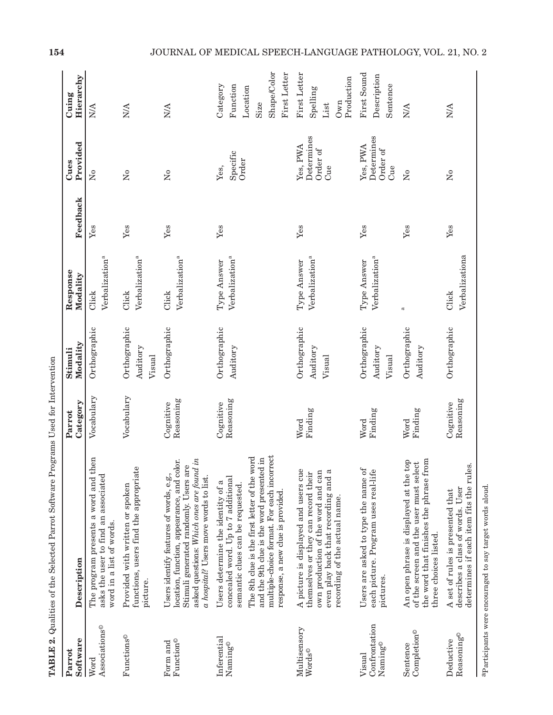| Software<br>Parrot                                   | Description                                                                                                                                                                                                                                                                                 | Category<br>Parrot     | Modality<br>Stimuli                | Response<br>Modality                      | Feedback | Provided<br>Cues                          | Hierarchy<br>Cuing                                                      |
|------------------------------------------------------|---------------------------------------------------------------------------------------------------------------------------------------------------------------------------------------------------------------------------------------------------------------------------------------------|------------------------|------------------------------------|-------------------------------------------|----------|-------------------------------------------|-------------------------------------------------------------------------|
| Associations <sup>®</sup><br>Word                    | The program presents a word and then<br>asks the user to find an associated<br>word in a list of words.                                                                                                                                                                                     | Vocabulary             | Orthographic                       | Verbalization <sup>a</sup><br>Click       | Yes      | $\mathsf{S}^{\mathsf{o}}$                 | $\frac{1}{2}$                                                           |
| Functions <sup>®</sup>                               | Ф<br>functions, users find the appropriat<br>Provided with written or spoken<br>picture.                                                                                                                                                                                                    | Vocabulary             | Orthographic<br>Auditory<br>Visual | Verbalization <sup>a</sup><br>Click       | Yes      | $\mathsf{S}^{\mathsf{o}}$                 | <b>N/A</b>                                                              |
| Function®<br>Form and                                | asked questions: Which ones are found in<br>location, function, appearance, and color.<br>Stimuli generated randomly. Users are<br>Users identify features of words, e.g.,<br>a hospital? Users move words to list.                                                                         | Reasoning<br>Cognitive | Orthographic                       | Verbalization <sup>a</sup><br>Click       | Yes      | $\overline{X}$                            | <b>N/A</b>                                                              |
| Inferential<br>Naming®                               | multiple-choice format. For each incorrect<br>The 8th clue is the first letter of the word<br>and the 9th clue is the word presented in<br>concealed word. Up to 7 additional<br>Users determine the identity of a<br>semantic clues can be requested.<br>response, a new clue is provided. | Reasoning<br>Cognitive | Orthographic<br>Auditory           | Verbalization <sup>a</sup><br>Type Answer | Yes      | Specific<br>Order<br>Yes,                 | Shape/Color<br>First Letter<br>Category<br>Function<br>Location<br>Size |
| Multisensory<br>$\ensuremath{\text{Words}}^\odot$    | A picture is displayed and users cue<br>themselves or they can record their<br>own production of the word and can<br>even play back that recording and a<br>recording of the actual name.                                                                                                   | Finding<br>Word        | Orthographic<br>Auditory<br>Visual | Verbalization <sup>a</sup><br>Type Answer | Yes      | Determines<br>Yes, PWA<br>Order of<br>Cue | First Letter<br>Production<br>Spelling<br>Own<br>List                   |
| Confrontation<br>$\mathrm{Naming}^{\odot}$<br>Visual | Users are asked to type the name of<br>each picture. Program uses real-life<br>pictures.                                                                                                                                                                                                    | Finding<br>Word        | Orthographic<br>Auditory<br>Visual | Verbalization <sup>a</sup><br>Type Answer | Yes      | Determines<br>Yes, PWA<br>Order of<br>Cue | First Sound<br>Description<br>Sentence                                  |
| $\mathtt{Completion}^{\odot}$<br>Sentence            | the word that finishes the phrase from<br>An open phrase is displayed at the top<br>of the screen and the user must select<br>three choices listed.                                                                                                                                         | Finding<br>Word        | Orthographic<br>Auditory           | a                                         | Yes      | $\mathsf{S}^{\mathsf{o}}$                 | <b>N/A</b>                                                              |
| Reasoning <sup>®</sup><br>Deductive                  | determines if each item fits the rules.<br>describes a class of words. User<br>A set of rules is presented that                                                                                                                                                                             | Reasoning<br>Cognitive | Orthographic                       | Verbalizationa<br>Click                   | Yes      | $\mathsf{S}^{\mathsf{o}}$                 | <b>N/A</b>                                                              |

**TABLE 2.** Qualities of the Selected Parrot Software Programs Used for Intervention Table 2. Qualities of the Selected Parrot Software Programs Used for Intervention

a<br>Participants were encouraged to say target words aloud. aParticipants were encouraged to say target words aloud.

# 154 JOURNAL OF MEDICAL SPEECH-LANGUAGE PATHOLOGY, VOL. 21, NO. 2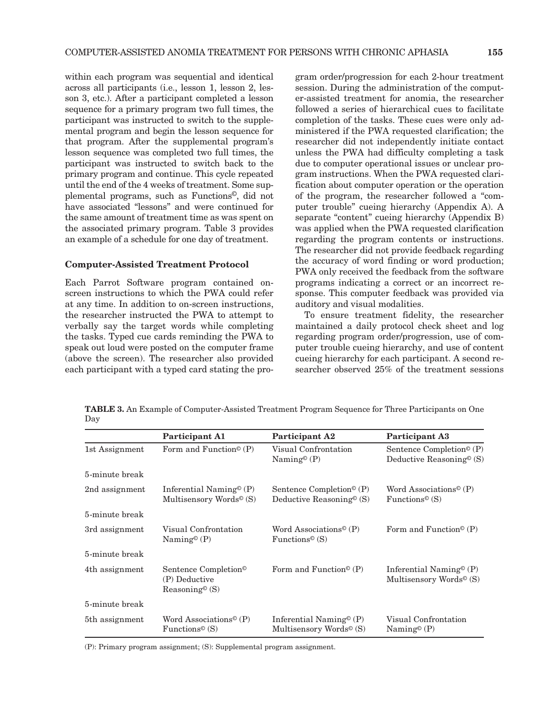within each program was sequential and identical across all participants (i.e., lesson 1, lesson 2, lesson 3, etc.). After a participant completed a lesson sequence for a primary program two full times, the participant was instructed to switch to the supplemental program and begin the lesson sequence for that program. After the supplemental program's lesson sequence was completed two full times, the participant was instructed to switch back to the primary program and continue. This cycle repeated until the end of the 4 weeks of treatment. Some supplemental programs, such as Functions©, did not have associated "lessons" and were continued for the same amount of treatment time as was spent on the associated primary program. Table 3 provides an example of a schedule for one day of treatment.

#### Computer-Assisted Treatment Protocol

Each Parrot Software program contained onscreen instructions to which the PWA could refer at any time. In addition to on-screen instructions, the researcher instructed the PWA to attempt to verbally say the target words while completing the tasks. Typed cue cards reminding the PWA to speak out loud were posted on the computer frame (above the screen). The researcher also provided each participant with a typed card stating the program order/progression for each 2-hour treatment session. During the administration of the computer-assisted treatment for anomia, the researcher followed a series of hierarchical cues to facilitate completion of the tasks. These cues were only administered if the PWA requested clarification; the researcher did not independently initiate contact unless the PWA had difficulty completing a task due to computer operational issues or unclear program instructions. When the PWA requested clarification about computer operation or the operation of the program, the researcher followed a "computer trouble" cueing hierarchy (Appendix A). A separate "content" cueing hierarchy (Appendix B) was applied when the PWA requested clarification regarding the program contents or instructions. The researcher did not provide feedback regarding the accuracy of word finding or word production; PWA only received the feedback from the software programs indicating a correct or an incorrect response. This computer feedback was provided via auditory and visual modalities.

To ensure treatment fidelity, the researcher maintained a daily protocol check sheet and log regarding program order/progression, use of computer trouble cueing hierarchy, and use of content cueing hierarchy for each participant. A second researcher observed 25% of the treatment sessions

Table 3. An Example of Computer-Assisted Treatment Program Sequence for Three Participants on One Day

|                            | <b>Participant A1</b>                                                                                        | Participant A2                                                                                                 | <b>Participant A3</b>                                                                                          |
|----------------------------|--------------------------------------------------------------------------------------------------------------|----------------------------------------------------------------------------------------------------------------|----------------------------------------------------------------------------------------------------------------|
| 1st Assignment             | Form and Function <sup><math>\circ</math></sup> (P)                                                          | Visual Confrontation<br>Naming <sup><math>\circ</math></sup> (P)                                               | Sentence Completion <sup><math>\circ</math></sup> (P)<br>Deductive Reasoning <sup><math>\circ</math></sup> (S) |
| 5-minute break             |                                                                                                              |                                                                                                                |                                                                                                                |
| 2nd assignment             | Inferential Naming <sup><math>\circ</math></sup> (P)<br>Multisensory Words <sup><math>\circ</math></sup> (S) | Sentence Completion <sup><math>\circ</math></sup> (P)<br>Deductive Reasoning <sup><math>\circ</math></sup> (S) | Word Associations <sup><math>\circ</math></sup> (P)<br>Functions <sup><math>\circ</math></sup> (S)             |
| 5-minute break             |                                                                                                              |                                                                                                                |                                                                                                                |
| 3rd assignment             | Visual Confrontation<br>Naming <sup><math>\circ</math></sup> (P)                                             | Word Associations <sup><math>\circ</math></sup> (P)<br>Functions <sup><math>\circ</math></sup> (S)             | Form and Function <sup><math>\circ</math></sup> (P)                                                            |
| 5-minute break             |                                                                                                              |                                                                                                                |                                                                                                                |
| 4th assignment             | Sentence Completion <sup>®</sup><br>(P) Deductive<br>$Reasoning^{\circ}(\mathbf{S})$                         | Form and Function <sup><math>\circ</math></sup> (P)                                                            | Inferential Naming <sup><math>\circ</math></sup> (P)<br>Multisensory Words <sup><math>\circ</math></sup> (S)   |
| 5-minute break             |                                                                                                              |                                                                                                                |                                                                                                                |
| 5 <sup>th</sup> assignment | Word Associations <sup><math>\circ</math></sup> (P)<br>Functions <sup><math>\circ</math></sup> (S)           | Inferential Naming <sup><math>\circ</math></sup> (P)<br>Multisensory Words <sup><math>\circ</math></sup> (S)   | Visual Confrontation<br>Naming <sup><math>\circ</math></sup> (P)                                               |

(P): Primary program assignment; (S): Supplemental program assignment.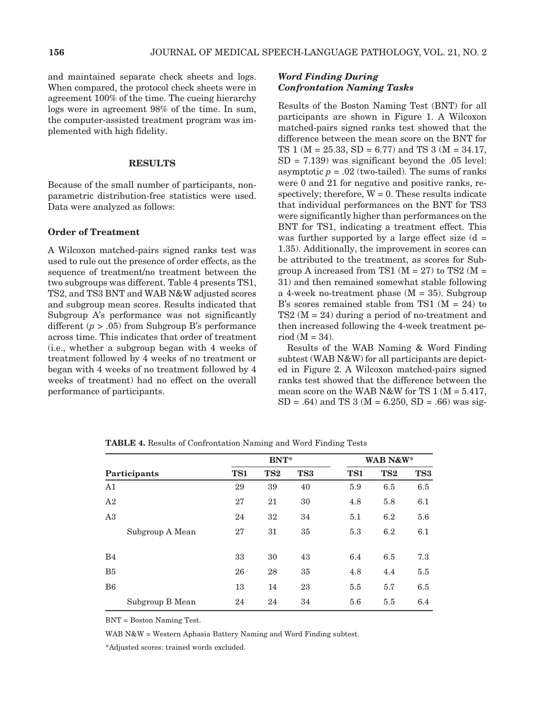and maintained separate check sheets and logs. When compared, the protocol check sheets were in agreement 100% of the time. The cueing hierarchy logs were in agreement 98% of the time. In sum, the computer-assisted treatment program was implemented with high fidelity.

#### **RESULTS**

Because of the small number of participants, nonparametric distribution-free statistics were used. Data were analyzed as follows:

#### Order of Treatment

A Wilcoxon matched-pairs signed ranks test was used to rule out the presence of order effects, as the sequence of treatment/no treatment between the two subgroups was different. Table 4 presents TS1, TS2, and TS3 BNT and WAB N&W adjusted scores and subgroup mean scores. Results indicated that Subgroup A's performance was not significantly different (*p* > .05) from Subgroup B's performance across time. This indicates that order of treatment (i.e., whether a subgroup began with 4 weeks of treatment followed by 4 weeks of no treatment or began with 4 weeks of no treatment followed by 4 weeks of treatment) had no effect on the overall performance of participants.

## *Word Finding During Confrontation Naming Tasks*

Results of the Boston Naming Test (BNT) for all participants are shown in Figure 1. A Wilcoxon matched-pairs signed ranks test showed that the difference between the mean score on the BNT for TS 1 ( $M = 25.33$ ,  $SD = 6.77$ ) and TS 3 ( $M = 34.17$ ,  $SD = 7.139$ ) was significant beyond the .05 level: asymptotic  $p = .02$  (two-tailed). The sums of ranks were 0 and 21 for negative and positive ranks, respectively; therefore,  $W = 0$ . These results indicate that individual performances on the BNT for TS3 were significantly higher than performances on the BNT for TS1, indicating a treatment effect. This was further supported by a large effect size  $(d =$ 1.35). Additionally, the improvement in scores can be attributed to the treatment, as scores for Subgroup A increased from TS1 ( $M = 27$ ) to TS2 ( $M =$ 31) and then remained somewhat stable following a 4-week no-treatment phase  $(M = 35)$ . Subgroup B's scores remained stable from TS1  $(M = 24)$  to  $TS2 (M = 24)$  during a period of no-treatment and then increased following the 4-week treatment period  $(M = 34)$ .

Results of the WAB Naming & Word Finding subtest (WAB N&W) for all participants are depicted in Figure 2. A Wilcoxon matched-pairs signed ranks test showed that the difference between the mean score on the WAB N&W for TS  $1 (M = 5.417,$  $SD = .64$ ) and TS 3 (M = 6.250, SD = .66) was sig-

|                 |     | <b>BNT*</b>     |     |     | WAB N&W*        |     |
|-----------------|-----|-----------------|-----|-----|-----------------|-----|
| Participants    | TS1 | TS <sub>2</sub> | TS3 | TS1 | TS <sub>2</sub> | TS3 |
| A1              | 29  | 39              | 40  | 5.9 | 6.5             | 6.5 |
| A2              | 27  | 21              | 30  | 4.8 | 5.8             | 6.1 |
| A3              | 24  | 32              | 34  | 5.1 | 6.2             | 5.6 |
| Subgroup A Mean | 27  | 31              | 35  | 5.3 | 6.2             | 6.1 |
| B <sub>4</sub>  | 33  | 30              | 43  | 6.4 | 6.5             | 7.3 |
| B <sub>5</sub>  | 26  | 28              | 35  | 4.8 | 4.4             | 5.5 |
| B <sub>6</sub>  | 13  | 14              | 23  | 5.5 | 5.7             | 6.5 |
| Subgroup B Mean | 24  | 24              | 34  | 5.6 | 5.5             | 6.4 |

Table 4. Results of Confrontation Naming and Word Finding Tests

BNT = Boston Naming Test.

WAB N&W = Western Aphasia Battery Naming and Word Finding subtest.

\*Adjusted scores: trained words excluded.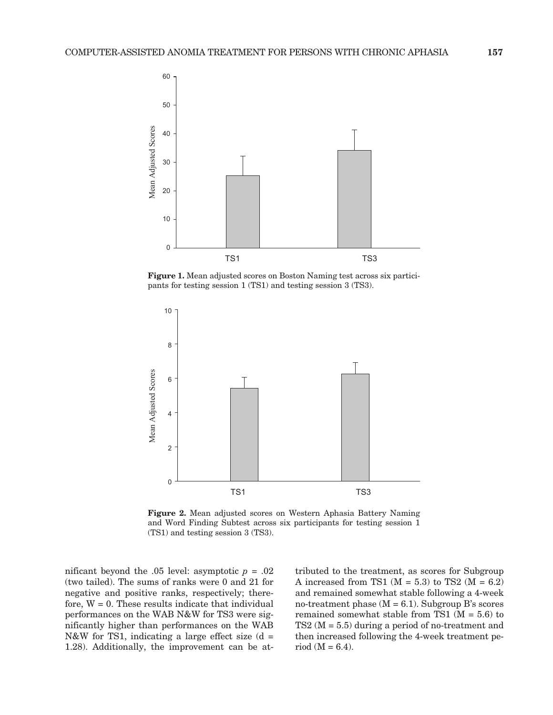

Figure 1. Mean adjusted scores on Boston Naming test across six participants for testing session 1 (TS1) and testing session 3 (TS3).



Figure 2. Mean adjusted scores on Western Aphasia Battery Naming and Word Finding Subtest across six participants for testing session 1 (TS1) and testing session 3 (TS3).

nificant beyond the .05 level: asymptotic  $p = .02$ (two tailed). The sums of ranks were 0 and 21 for negative and positive ranks, respectively; therefore,  $W = 0$ . These results indicate that individual performances on the WAB N&W for TS3 were significantly higher than performances on the WAB N&W for TS1, indicating a large effect size  $(d =$ 1.28). Additionally, the improvement can be attributed to the treatment, as scores for Subgroup A increased from TS1 ( $M = 5.3$ ) to TS2 ( $M = 6.2$ ) and remained somewhat stable following a 4-week no-treatment phase  $(M = 6.1)$ . Subgroup B's scores remained somewhat stable from TS1 ( $M = 5.6$ ) to TS2 (M = 5.5) during a period of no-treatment and then increased following the 4-week treatment period  $(M = 6.4)$ .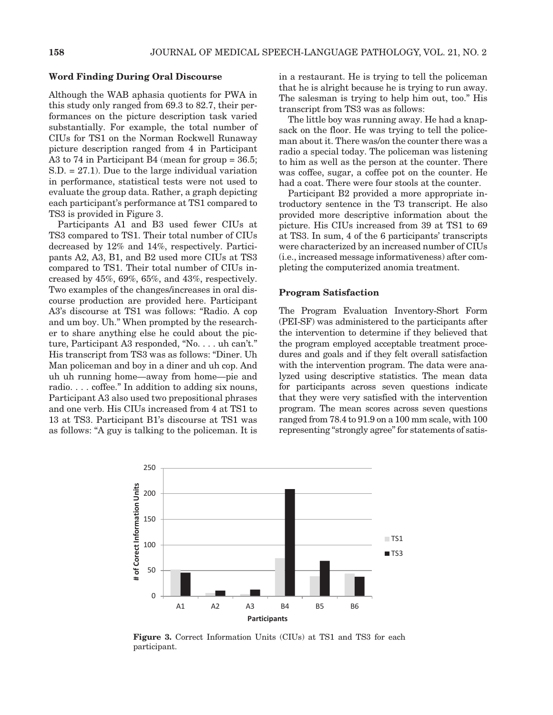#### Word Finding During Oral Discourse

Although the WAB aphasia quotients for PWA in this study only ranged from 69.3 to 82.7, their performances on the picture description task varied substantially. For example, the total number of CIUs for TS1 on the Norman Rockwell Runaway picture description ranged from 4 in Participant A3 to 74 in Participant B4 (mean for group = 36.5; S.D. = 27.1). Due to the large individual variation in performance, statistical tests were not used to evaluate the group data. Rather, a graph depicting each participant's performance at TS1 compared to TS3 is provided in Figure 3.

Participants A1 and B3 used fewer CIUs at TS3 compared to TS1. Their total number of CIUs decreased by 12% and 14%, respectively. Participants A2, A3, B1, and B2 used more CIUs at TS3 compared to TS1. Their total number of CIUs increased by 45%, 69%, 65%, and 43%, respectively. Two examples of the changes/increases in oral discourse production are provided here. Participant A3's discourse at TS1 was follows: "Radio. A cop and um boy. Uh." When prompted by the researcher to share anything else he could about the picture, Participant A3 responded, "No. . . . uh can't." His transcript from TS3 was as follows: "Diner. Uh Man policeman and boy in a diner and uh cop. And uh uh running home—away from home—pie and radio. . . . coffee." In addition to adding six nouns, Participant A3 also used two prepositional phrases and one verb. His CIUs increased from 4 at TS1 to 13 at TS3. Participant B1's discourse at TS1 was as follows: "A guy is talking to the policeman. It is in a restaurant. He is trying to tell the policeman that he is alright because he is trying to run away. The salesman is trying to help him out, too." His transcript from TS3 was as follows:

The little boy was running away. He had a knapsack on the floor. He was trying to tell the policeman about it. There was/on the counter there was a radio a special today. The policeman was listening to him as well as the person at the counter. There was coffee, sugar, a coffee pot on the counter. He had a coat. There were four stools at the counter.

Participant B2 provided a more appropriate introductory sentence in the T3 transcript. He also provided more descriptive information about the picture. His CIUs increased from 39 at TS1 to 69 at TS3. In sum, 4 of the 6 participants' transcripts were characterized by an increased number of CIUs (i.e., increased message informativeness) after completing the computerized anomia treatment.

#### Program Satisfaction

The Program Evaluation Inventory-Short Form (PEI-SF) was administered to the participants after the intervention to determine if they believed that the program employed acceptable treatment procedures and goals and if they felt overall satisfaction with the intervention program. The data were analyzed using descriptive statistics. The mean data for participants across seven questions indicate that they were very satisfied with the intervention program. The mean scores across seven questions ranged from 78.4 to 91.9 on a 100 mm scale, with 100 representing "strongly agree" for statements of satis-



Figure 3. Correct Information Units (CIUs) at TS1 and TS3 for each participant.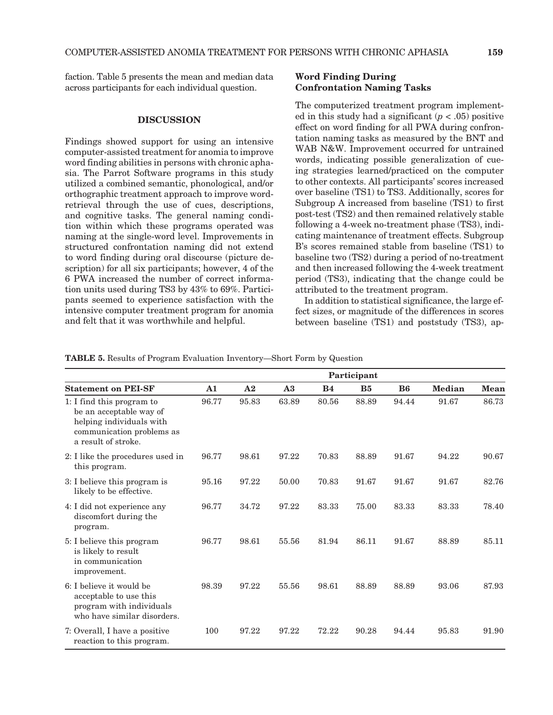faction. Table 5 presents the mean and median data across participants for each individual question.

#### **DISCUSSION**

Findings showed support for using an intensive computer-assisted treatment for anomia to improve word finding abilities in persons with chronic aphasia. The Parrot Software programs in this study utilized a combined semantic, phonological, and/or orthographic treatment approach to improve wordretrieval through the use of cues, descriptions, and cognitive tasks. The general naming condition within which these programs operated was naming at the single-word level. Improvements in structured confrontation naming did not extend to word finding during oral discourse (picture description) for all six participants; however, 4 of the 6 PWA increased the number of correct information units used during TS3 by 43% to 69%. Participants seemed to experience satisfaction with the intensive computer treatment program for anomia and felt that it was worthwhile and helpful.

## Word Finding During Confrontation Naming Tasks

The computerized treatment program implemented in this study had a significant  $(p < .05)$  positive effect on word finding for all PWA during confrontation naming tasks as measured by the BNT and WAB N&W. Improvement occurred for untrained words, indicating possible generalization of cueing strategies learned/practiced on the computer to other contexts. All participants' scores increased over baseline (TS1) to TS3. Additionally, scores for Subgroup A increased from baseline (TS1) to first post-test (TS2) and then remained relatively stable following a 4-week no-treatment phase (TS3), indicating maintenance of treatment effects. Subgroup B's scores remained stable from baseline (TS1) to baseline two (TS2) during a period of no-treatment and then increased following the 4-week treatment period (TS3), indicating that the change could be attributed to the treatment program.

In addition to statistical significance, the large effect sizes, or magnitude of the differences in scores between baseline (TS1) and poststudy (TS3), ap-

Table 5. Results of Program Evaluation Inventory—Short Form by Question

|                                                                                                                                      | Participant |       |       |           |           |                |        |             |
|--------------------------------------------------------------------------------------------------------------------------------------|-------------|-------|-------|-----------|-----------|----------------|--------|-------------|
| <b>Statement on PEI-SF</b>                                                                                                           | ${\bf A1}$  | A2    | A3    | <b>B4</b> | <b>B5</b> | B <sub>6</sub> | Median | <b>Mean</b> |
| 1: I find this program to<br>be an acceptable way of<br>helping individuals with<br>communication problems as<br>a result of stroke. | 96.77       | 95.83 | 63.89 | 80.56     | 88.89     | 94.44          | 91.67  | 86.73       |
| 2: I like the procedures used in<br>this program.                                                                                    | 96.77       | 98.61 | 97.22 | 70.83     | 88.89     | 91.67          | 94.22  | 90.67       |
| 3: I believe this program is<br>likely to be effective.                                                                              | 95.16       | 97.22 | 50.00 | 70.83     | 91.67     | 91.67          | 91.67  | 82.76       |
| 4: I did not experience any<br>discomfort during the<br>program.                                                                     | 96.77       | 34.72 | 97.22 | 83.33     | 75.00     | 83.33          | 83.33  | 78.40       |
| 5: I believe this program<br>is likely to result<br>in communication<br>improvement.                                                 | 96.77       | 98.61 | 55.56 | 81.94     | 86.11     | 91.67          | 88.89  | 85.11       |
| 6: I believe it would be<br>acceptable to use this<br>program with individuals<br>who have similar disorders.                        | 98.39       | 97.22 | 55.56 | 98.61     | 88.89     | 88.89          | 93.06  | 87.93       |
| 7: Overall, I have a positive<br>reaction to this program.                                                                           | 100         | 97.22 | 97.22 | 72.22     | 90.28     | 94.44          | 95.83  | 91.90       |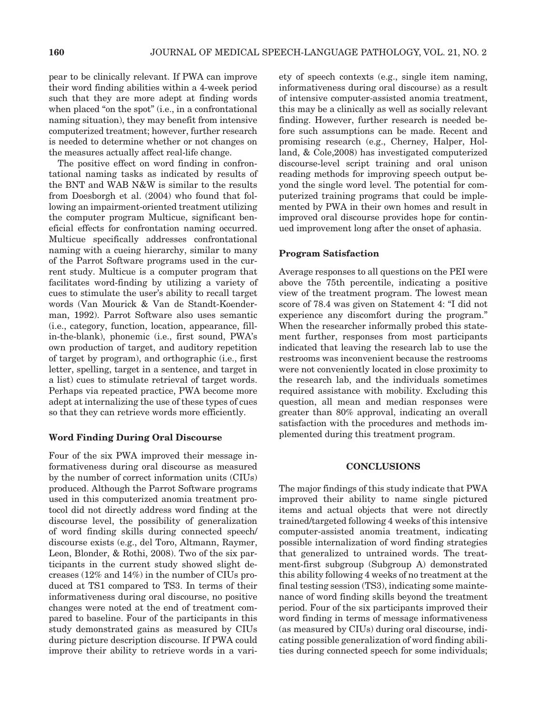pear to be clinically relevant. If PWA can improve their word finding abilities within a 4-week period such that they are more adept at finding words when placed "on the spot" (i.e., in a confrontational naming situation), they may benefit from intensive computerized treatment; however, further research is needed to determine whether or not changes on the measures actually affect real-life change.

The positive effect on word finding in confrontational naming tasks as indicated by results of the BNT and WAB N&W is similar to the results from Doesborgh et al. (2004) who found that following an impairment-oriented treatment utilizing the computer program Multicue, significant beneficial effects for confrontation naming occurred. Multicue specifically addresses confrontational naming with a cueing hierarchy, similar to many of the Parrot Software programs used in the current study. Multicue is a computer program that facilitates word-finding by utilizing a variety of cues to stimulate the user's ability to recall target words (Van Mourick & Van de Standt-Koenderman, 1992). Parrot Software also uses semantic (i.e., category, function, location, appearance, fillin-the-blank), phonemic (i.e., first sound, PWA's own production of target, and auditory repetition of target by program), and orthographic (i.e., first letter, spelling, target in a sentence, and target in a list) cues to stimulate retrieval of target words. Perhaps via repeated practice, PWA become more adept at internalizing the use of these types of cues so that they can retrieve words more efficiently.

#### Word Finding During Oral Discourse

Four of the six PWA improved their message informativeness during oral discourse as measured by the number of correct information units (CIUs) produced. Although the Parrot Software programs used in this computerized anomia treatment protocol did not directly address word finding at the discourse level, the possibility of generalization of word finding skills during connected speech/ discourse exists (e.g., del Toro, Altmann, Raymer, Leon, Blonder, & Rothi, 2008). Two of the six participants in the current study showed slight decreases (12% and 14%) in the number of CIUs produced at TS1 compared to TS3. In terms of their informativeness during oral discourse, no positive changes were noted at the end of treatment compared to baseline. Four of the participants in this study demonstrated gains as measured by CIUs during picture description discourse. If PWA could improve their ability to retrieve words in a variety of speech contexts (e.g., single item naming, informativeness during oral discourse) as a result of intensive computer-assisted anomia treatment, this may be a clinically as well as socially relevant finding. However, further research is needed before such assumptions can be made. Recent and promising research (e.g., Cherney, Halper, Holland, & Cole,2008) has investigated computerized discourse-level script training and oral unison reading methods for improving speech output beyond the single word level. The potential for computerized training programs that could be implemented by PWA in their own homes and result in improved oral discourse provides hope for continued improvement long after the onset of aphasia.

#### Program Satisfaction

Average responses to all questions on the PEI were above the 75th percentile, indicating a positive view of the treatment program. The lowest mean score of 78.4 was given on Statement 4: "I did not experience any discomfort during the program." When the researcher informally probed this statement further, responses from most participants indicated that leaving the research lab to use the restrooms was inconvenient because the restrooms were not conveniently located in close proximity to the research lab, and the individuals sometimes required assistance with mobility. Excluding this question, all mean and median responses were greater than 80% approval, indicating an overall satisfaction with the procedures and methods implemented during this treatment program.

#### **CONCLUSIONS**

The major findings of this study indicate that PWA improved their ability to name single pictured items and actual objects that were not directly trained/targeted following 4 weeks of this intensive computer-assisted anomia treatment, indicating possible internalization of word finding strategies that generalized to untrained words. The treatment-first subgroup (Subgroup A) demonstrated this ability following 4 weeks of no treatment at the final testing session (TS3), indicating some maintenance of word finding skills beyond the treatment period. Four of the six participants improved their word finding in terms of message informativeness (as measured by CIUs) during oral discourse, indicating possible generalization of word finding abilities during connected speech for some individuals;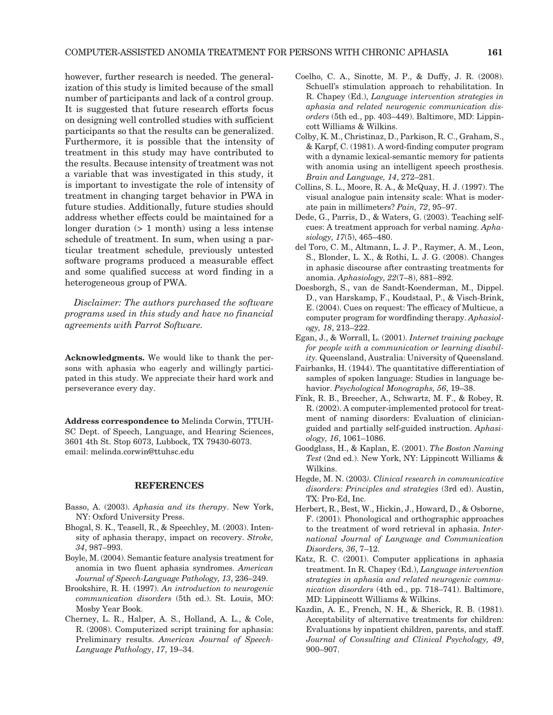however, further research is needed. The generalization of this study is limited because of the small number of participants and lack of a control group. It is suggested that future research efforts focus on designing well controlled studies with sufficient participants so that the results can be generalized. Furthermore, it is possible that the intensity of treatment in this study may have contributed to the results. Because intensity of treatment was not a variable that was investigated in this study, it is important to investigate the role of intensity of treatment in changing target behavior in PWA in future studies. Additionally, future studies should address whether effects could be maintained for a longer duration (> 1 month) using a less intense schedule of treatment. In sum, when using a particular treatment schedule, previously untested software programs produced a measurable effect and some qualified success at word finding in a heterogeneous group of PWA.

*Disclaimer: The authors purchased the software programs used in this study and have no financial agreements with Parrot Software.*

Acknowledgments. We would like to thank the persons with aphasia who eagerly and willingly participated in this study. We appreciate their hard work and perseverance every day.

Address correspondence to Melinda Corwin, TTUH-SC Dept. of Speech, Language, and Hearing Sciences, 3601 4th St. Stop 6073, Lubbock, TX 79430-6073. email: melinda.corwin@ttuhsc.edu

#### **REFERENCES**

- Basso, A. (2003). *Aphasia and its therapy*. New York, NY: Oxford University Press.
- Bhogal, S. K., Teasell, R., & Speechley, M. (2003). Intensity of aphasia therapy, impact on recovery. *Stroke, 34*, 987–993.
- Boyle, M. (2004). Semantic feature analysis treatment for anomia in two fluent aphasia syndromes. *American Journal of Speech-Language Pathology, 13*, 236–249.
- Brookshire, R. H. (1997). *An introduction to neurogenic communication disorders* (5th ed.). St. Louis, MO: Mosby Year Book.
- Cherney, L. R., Halper, A. S., Holland, A. L., & Cole, R. (2008). Computerized script training for aphasia: Preliminary results. *American Journal of Speech-Language Pathology*, *17*, 19–34.
- Coelho, C. A., Sinotte, M. P., & Duffy, J. R. (2008). Schuell's stimulation approach to rehabilitation. In R. Chapey (Ed.), *Language intervention strategies in aphasia and related neurogenic communication disorders* (5th ed., pp. 403–449). Baltimore, MD: Lippincott Williams & Wilkins.
- Colby, K. M., Christinaz, D., Parkison, R. C., Graham, S., & Karpf, C. (1981). A word-finding computer program with a dynamic lexical-semantic memory for patients with anomia using an intelligent speech prosthesis. *Brain and Language, 14*, 272–281.
- Collins, S. L., Moore, R. A., & McQuay, H. J. (1997). The visual analogue pain intensity scale: What is moderate pain in millimeters? *Pain, 72*, 95–97.
- Dede, G., Parris, D., & Waters, G. (2003). Teaching selfcues: A treatment approach for verbal naming. *Aphasiology, 17*(5), 465–480.
- del Toro, C. M., Altmann, L. J. P., Raymer, A. M., Leon, S., Blonder, L. X., & Rothi, L. J. G. (2008). Changes in aphasic discourse after contrasting treatments for anomia. *Aphasiology, 22*(7–8), 881–892.
- Doesborgh, S., van de Sandt-Koenderman, M., Dippel. D., van Harskamp, F., Koudstaal, P., & Visch-Brink, E. (2004). Cues on request: The efficacy of Multicue, a computer program for wordfinding therapy. *Aphasiology, 18*, 213–222.
- Egan, J., & Worrall, L. (2001). *Internet training package for people with a communication or learning disability.* Queensland, Australia: University of Queensland.
- Fairbanks, H. (1944). The quantitative differentiation of samples of spoken language: Studies in language behavior. *Psychological Monographs, 56*, 19–38.
- Fink, R. B., Breecher, A., Schwartz, M. F., & Robey, R. R. (2002). A computer-implemented protocol for treatment of naming disorders: Evaluation of clinicianguided and partially self-guided instruction. *Aphasiology, 16*, 1061–1086.
- Goodglass, H., & Kaplan, E. (2001). *The Boston Naming Test* (2nd ed.). New York, NY: Lippincott Williams & Wilkins.
- Hegde, M. N. (2003*). Clinical research in communicative disorders: Principles and strategies* (3rd ed). Austin, TX: Pro-Ed, Inc.
- Herbert, R., Best, W., Hickin, J., Howard, D., & Osborne, F. (2001). Phonological and orthographic approaches to the treatment of word retrieval in aphasia. *International Journal of Language and Communication Disorders, 36*, 7–12.
- Katz, R. C. (2001). Computer applications in aphasia treatment. In R. Chapey (Ed.), *Language intervention strategies in aphasia and related neurogenic communication disorders* (4th ed., pp. 718–741). Baltimore, MD: Lippincott Williams & Wilkins.
- Kazdin, A. E., French, N. H., & Sherick, R. B. (1981). Acceptability of alternative treatments for children: Evaluations by inpatient children, parents, and staff. *Journal of Consulting and Clinical Psychology, 49*, 900–907.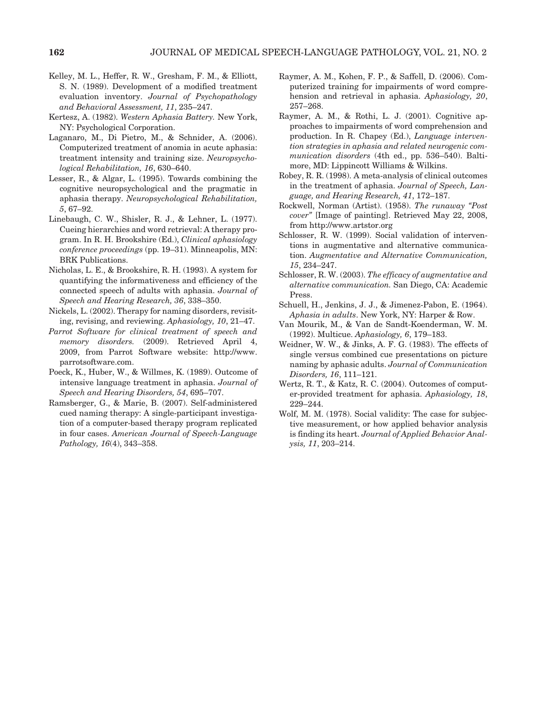- Kelley, M. L., Heffer, R. W., Gresham, F. M., & Elliott, S. N. (1989). Development of a modified treatment evaluation inventory. *Journal of Psychopathology and Behavioral Assessment, 11*, 235–247.
- Kertesz, A. (1982). *Western Aphasia Battery.* New York, NY: Psychological Corporation.
- Laganaro, M., Di Pietro, M., & Schnider, A. (2006). Computerized treatment of anomia in acute aphasia: treatment intensity and training size. *Neuropsychological Rehabilitation, 16*, 630–640.
- Lesser, R., & Algar, L. (1995). Towards combining the cognitive neuropsychological and the pragmatic in aphasia therapy. *Neuropsychological Rehabilitation, 5*, 67–92.
- Linebaugh, C. W., Shisler, R. J., & Lehner, L. (1977). Cueing hierarchies and word retrieval: A therapy program. In R. H. Brookshire (Ed.), *Clinical aphasiology conference proceedings* (pp. 19–31). Minneapolis, MN: BRK Publications.
- Nicholas, L. E., & Brookshire, R. H. (1993). A system for quantifying the informativeness and efficiency of the connected speech of adults with aphasia. *Journal of Speech and Hearing Research, 36*, 338–350.
- Nickels, L. (2002). Therapy for naming disorders, revisiting, revising, and reviewing. *Aphasiology, 10*, 21–47.
- *Parrot Software for clinical treatment of speech and memory disorders.* (2009). Retrieved April 4, 2009, from Parrot Software website: http://www. parrotsoftware.com.
- Poeck, K., Huber, W., & Willmes, K. (1989). Outcome of intensive language treatment in aphasia. *Journal of Speech and Hearing Disorders, 54*, 695–707.
- Ramsberger, G., & Marie, B. (2007). Self-administered cued naming therapy: A single-participant investigation of a computer-based therapy program replicated in four cases. *American Journal of Speech-Language Pathology, 16*(4), 343–358.
- Raymer, A. M., Kohen, F. P., & Saffell, D. (2006). Computerized training for impairments of word comprehension and retrieval in aphasia. *Aphasiology, 20*, 257–268.
- Raymer, A. M., & Rothi, L. J. (2001). Cognitive approaches to impairments of word comprehension and production. In R. Chapey (Ed.), *Language intervention strategies in aphasia and related neurogenic communication disorders* (4th ed., pp. 536–540). Baltimore, MD: Lippincott Williams & Wilkins.
- Robey, R. R. (1998). A meta-analysis of clinical outcomes in the treatment of aphasia. *Journal of Speech, Language, and Hearing Research, 41*, 172–187.
- Rockwell, Norman (Artist). (1958). *The runaway "Post cover"* [Image of painting]. Retrieved May 22, 2008, from http://www.artstor.org
- Schlosser, R. W. (1999). Social validation of interventions in augmentative and alternative communication. *Augmentative and Alternative Communication, 15*, 234–247.
- Schlosser, R. W. (2003). *The efficacy of augmentative and alternative communication.* San Diego, CA: Academic Press.
- Schuell, H., Jenkins, J. J., & Jimenez-Pabon, E. (1964). *Aphasia in adults*. New York, NY: Harper & Row.
- Van Mourik, M., & Van de Sandt-Koenderman, W. M. (1992). Multicue. *Aphasiology, 6*, 179–183.
- Weidner, W. W., & Jinks, A. F. G. (1983). The effects of single versus combined cue presentations on picture naming by aphasic adults. *Journal of Communication Disorders, 16*, 111–121.
- Wertz, R. T., & Katz, R. C. (2004). Outcomes of computer-provided treatment for aphasia. *Aphasiology, 18*, 229–244.
- Wolf, M. M. (1978). Social validity: The case for subjective measurement, or how applied behavior analysis is finding its heart. *Journal of Applied Behavior Analysis, 11*, 203–214.